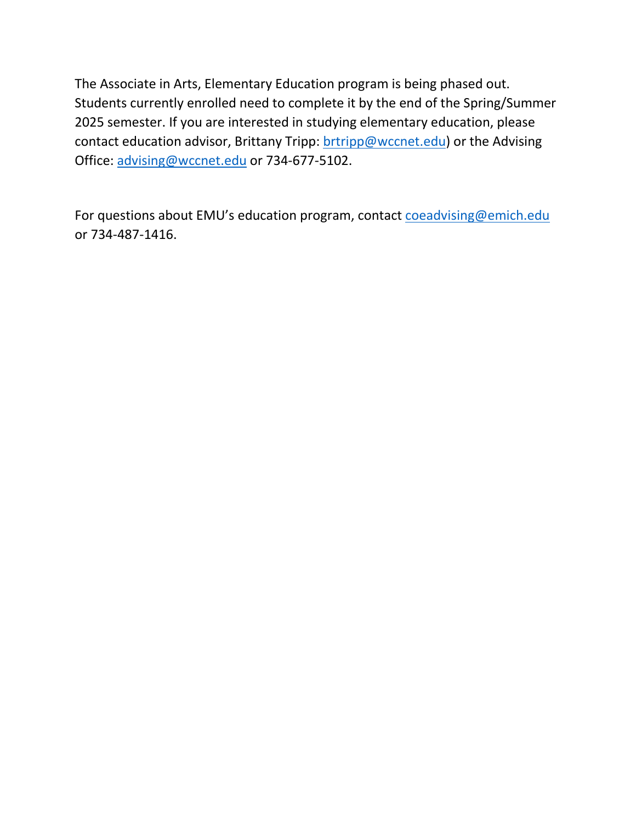The Associate in Arts, Elementary Education program is being phased out. Students currently enrolled need to complete it by the end of the Spring/Summer 2025 semester. If you are interested in studying elementary education, please contact education advisor, Brittany Tripp: [brtripp@wccnet.edu\)](mailto:brtripp@wccnet.edu) or the Advising Office: [advising@wccnet.edu](mailto:advising@wccnet.edu) or 734-677-5102.

For questions about EMU's education program, contact [coeadvising@emich.edu](mailto:coeadvising@emich.edu) or 734-487-1416.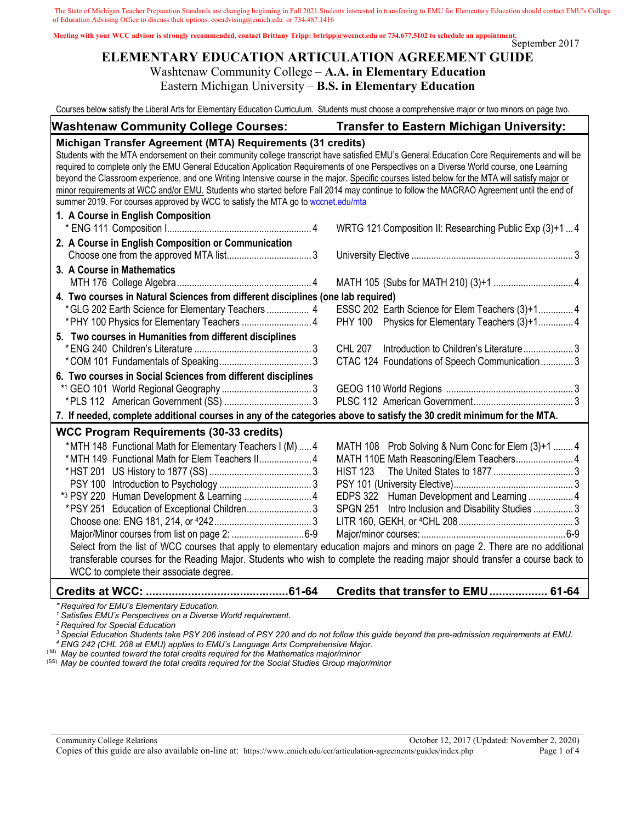The State of Michigan Teacher Preparation Standards are changing beginning in Fall 2021.Students interested in transferring to EMU for Elementary Education should contact EMU's College of Education Advising Office to discuss their options. coeadvising@emich.edu or 734.487.1416

September 2017 **Meeting with your WCC advisor is strongly recommended, contact Brittany Tripp: brtripp@wccnet.edu or 734.677.5102 to schedule an appointment.** 

# **ELEMENTARY EDUCATION ARTICULATION AGREEMENT GUIDE** Washtenaw Community College – **A.A. in Elementary Education**

Eastern Michigan University – **B.S. in Elementary Education**

Courses below satisfy the Liberal Arts for Elementary Education Curriculum. Students must choose a comprehensive major or two minors on page two.

| <b>Washtenaw Community College Courses:</b>                                                                                                                                                                                                                                                                                                                                                                                                                                                                                                                                                                                                                                                                                                | <b>Transfer to Eastern Michigan University:</b>                                                                                                                                                                                                                                                                                                                                                                                                                                     |  |  |
|--------------------------------------------------------------------------------------------------------------------------------------------------------------------------------------------------------------------------------------------------------------------------------------------------------------------------------------------------------------------------------------------------------------------------------------------------------------------------------------------------------------------------------------------------------------------------------------------------------------------------------------------------------------------------------------------------------------------------------------------|-------------------------------------------------------------------------------------------------------------------------------------------------------------------------------------------------------------------------------------------------------------------------------------------------------------------------------------------------------------------------------------------------------------------------------------------------------------------------------------|--|--|
| Michigan Transfer Agreement (MTA) Requirements (31 credits)<br>Students with the MTA endorsement on their community college transcript have satisfied EMU's General Education Core Requirements and will be<br>required to complete only the EMU General Education Application Requirements of one Perspectives on a Diverse World course, one Learning<br>beyond the Classroom experience, and one Writing Intensive course in the major. Specific courses listed below for the MTA will satisfy major or<br>minor requirements at WCC and/or EMU. Students who started before Fall 2014 may continue to follow the MACRAO Agreement until the end of<br>summer 2019. For courses approved by WCC to satisfy the MTA go to wccnet.edu/mta |                                                                                                                                                                                                                                                                                                                                                                                                                                                                                     |  |  |
| 1. A Course in English Composition                                                                                                                                                                                                                                                                                                                                                                                                                                                                                                                                                                                                                                                                                                         | WRTG 121 Composition II: Researching Public Exp (3)+1  4                                                                                                                                                                                                                                                                                                                                                                                                                            |  |  |
| 2. A Course in English Composition or Communication<br>3. A Course in Mathematics                                                                                                                                                                                                                                                                                                                                                                                                                                                                                                                                                                                                                                                          |                                                                                                                                                                                                                                                                                                                                                                                                                                                                                     |  |  |
|                                                                                                                                                                                                                                                                                                                                                                                                                                                                                                                                                                                                                                                                                                                                            |                                                                                                                                                                                                                                                                                                                                                                                                                                                                                     |  |  |
| 4. Two courses in Natural Sciences from different disciplines (one lab required)<br>*GLG 202 Earth Science for Elementary Teachers  4                                                                                                                                                                                                                                                                                                                                                                                                                                                                                                                                                                                                      | ESSC 202 Earth Science for Elem Teachers (3)+1 4<br>PHY 100 Physics for Elementary Teachers (3)+14                                                                                                                                                                                                                                                                                                                                                                                  |  |  |
| 5. Two courses in Humanities from different disciplines                                                                                                                                                                                                                                                                                                                                                                                                                                                                                                                                                                                                                                                                                    | Introduction to Children's Literature3<br><b>CHL 207</b><br>CTAC 124 Foundations of Speech Communication 3                                                                                                                                                                                                                                                                                                                                                                          |  |  |
| 6. Two courses in Social Sciences from different disciplines<br>7. If needed, complete additional courses in any of the categories above to satisfy the 30 credit minimum for the MTA.                                                                                                                                                                                                                                                                                                                                                                                                                                                                                                                                                     |                                                                                                                                                                                                                                                                                                                                                                                                                                                                                     |  |  |
| <b>WCC Program Requirements (30-33 credits)</b>                                                                                                                                                                                                                                                                                                                                                                                                                                                                                                                                                                                                                                                                                            |                                                                                                                                                                                                                                                                                                                                                                                                                                                                                     |  |  |
| *MTH 148 Functional Math for Elementary Teachers I (M)  4<br>*MTH 149 Functional Math for Elem Teachers II 4<br>*3 PSY 220 Human Development & Learning  4<br>*PSY 251 Education of Exceptional Children 3<br>WCC to complete their associate degree.                                                                                                                                                                                                                                                                                                                                                                                                                                                                                      | MATH 108 Prob Solving & Num Conc for Elem (3)+1  4<br>MATH 110E Math Reasoning/Elem Teachers 4<br><b>HIST 123</b><br>EDPS 322 Human Development and Learning 4<br>SPGN 251 Intro Inclusion and Disability Studies  3<br>Select from the list of WCC courses that apply to elementary education majors and minors on page 2. There are no additional<br>transferable courses for the Reading Major. Students who wish to complete the reading major should transfer a course back to |  |  |
| $\sim$ and a set of $\sim$ . The state of $\sim$                                                                                                                                                                                                                                                                                                                                                                                                                                                                                                                                                                                                                                                                                           | Credits that transfer to EMU 61-64                                                                                                                                                                                                                                                                                                                                                                                                                                                  |  |  |

*\* Required for EMU's Elementary Education.*

*<sup>1</sup> Satisfies EMU's Perspectives on a Diverse World requirement. <sup>2</sup> Required for Special Education*

*<sup>3</sup> Special Education Students take PSY 206 instead of PSY 220 and do not follow this guide beyond the pre-admission requirements at EMU.*

*<sup>4</sup> ENG 242 (CHL 208 at EMU) applies to EMU's Language Arts Comprehensive Major.*

(M) May be counted toward the total credits required for the Mathematics major/minor

(SS) *May be counted toward the total credits required for the Social Studies Group major/minor*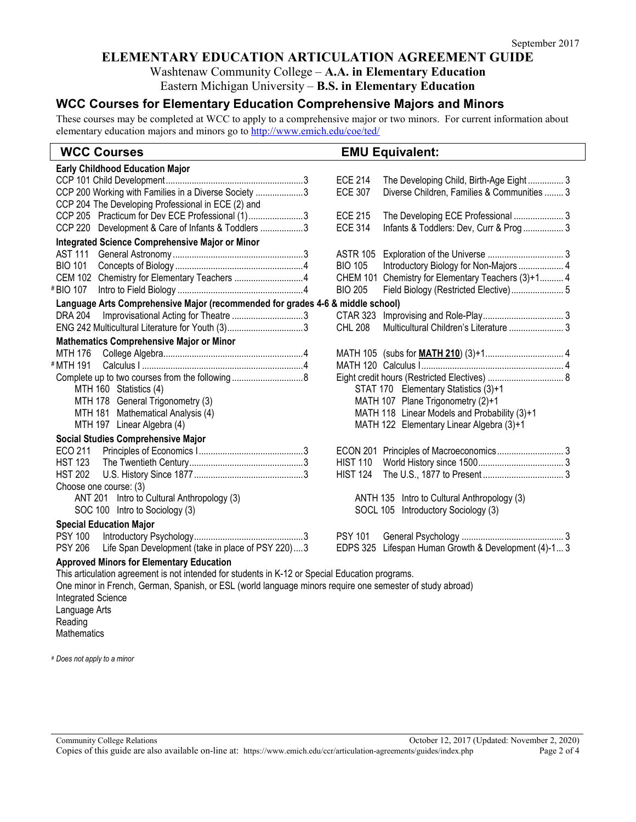# **ELEMENTARY EDUCATION ARTICULATION AGREEMENT GUIDE**

Washtenaw Community College – **A.A. in Elementary Education**

Eastern Michigan University – **B.S. in Elementary Education**

# **WCC Courses for Elementary Education Comprehensive Majors and Minors**

These courses may be completed at WCC to apply to a comprehensive major or two minors. For current information about elementary education majors and minors go to http://www.emich.edu/coe/ted/

| <b>Early Childhood Education Major</b><br><b>ECE 214</b><br>The Developing Child, Birth-Age Eight 3<br>CCP 200 Working with Families in a Diverse Society 3<br><b>ECE 307</b><br>Diverse Children, Families & Communities  3<br>CCP 204 The Developing Professional in ECE (2) and<br>CCP 205 Practicum for Dev ECE Professional (1)3<br><b>ECE 215</b><br>The Developing ECE Professional  3<br><b>ECE 314</b><br>CCP 220 Development & Care of Infants & Toddlers 3<br>Infants & Toddlers: Dev, Curr & Prog  3<br>Integrated Science Comprehensive Major or Minor<br><b>AST 111</b><br><b>ASTR 105</b><br><b>BIO 101</b><br><b>BIO 105</b><br>Introductory Biology for Non-Majors  4<br>CEM 102 Chemistry for Elementary Teachers 4<br>CHEM 101 Chemistry for Elementary Teachers (3)+1 4<br># BIO 107<br><b>BIO 205</b><br>Field Biology (Restricted Elective) 5<br>Language Arts Comprehensive Major (recommended for grades 4-6 & middle school)<br>Improvisational Acting for Theatre 3<br><b>DRA 204</b><br><b>CTAR 323</b><br>Multicultural Children's Literature  3<br>ENG 242 Multicultural Literature for Youth (3)3<br><b>CHL 208</b><br><b>Mathematics Comprehensive Major or Minor</b><br>MTH 176<br># MTH 191<br>STAT 170 Elementary Statistics (3)+1<br>MTH 160 Statistics (4)<br>MTH 178 General Trigonometry (3)<br>MATH 107 Plane Trigonometry (2)+1<br>MTH 181 Mathematical Analysis (4)<br>MATH 118 Linear Models and Probability (3)+1<br>MTH 197 Linear Algebra (4)<br>MATH 122 Elementary Linear Algebra (3)+1<br><b>Social Studies Comprehensive Major</b><br>ECON 201 Principles of Macroeconomics 3<br>ECO 211<br><b>HIST 110</b><br><b>HST 123</b><br><b>HST 202</b><br><b>HIST 124</b><br>Choose one course: (3)<br>ANT 201 Intro to Cultural Anthropology (3)<br>ANTH 135 Intro to Cultural Anthropology (3)<br>SOC 100 Intro to Sociology (3)<br><b>SOCL 105</b><br>Introductory Sociology (3)<br><b>Special Education Major</b><br><b>PSY 100</b><br><b>PSY 101</b><br><b>PSY 206</b><br>Life Span Development (take in place of PSY 220)3<br>Lifespan Human Growth & Development (4)-1 3<br><b>EDPS 325</b> | <b>WCC Courses</b>                              | <b>EMU Equivalent:</b> |  |  |  |
|----------------------------------------------------------------------------------------------------------------------------------------------------------------------------------------------------------------------------------------------------------------------------------------------------------------------------------------------------------------------------------------------------------------------------------------------------------------------------------------------------------------------------------------------------------------------------------------------------------------------------------------------------------------------------------------------------------------------------------------------------------------------------------------------------------------------------------------------------------------------------------------------------------------------------------------------------------------------------------------------------------------------------------------------------------------------------------------------------------------------------------------------------------------------------------------------------------------------------------------------------------------------------------------------------------------------------------------------------------------------------------------------------------------------------------------------------------------------------------------------------------------------------------------------------------------------------------------------------------------------------------------------------------------------------------------------------------------------------------------------------------------------------------------------------------------------------------------------------------------------------------------------------------------------------------------------------------------------------------------------------------------------------------------------------------------------------------------------------------------------------------------------|-------------------------------------------------|------------------------|--|--|--|
|                                                                                                                                                                                                                                                                                                                                                                                                                                                                                                                                                                                                                                                                                                                                                                                                                                                                                                                                                                                                                                                                                                                                                                                                                                                                                                                                                                                                                                                                                                                                                                                                                                                                                                                                                                                                                                                                                                                                                                                                                                                                                                                                              |                                                 |                        |  |  |  |
|                                                                                                                                                                                                                                                                                                                                                                                                                                                                                                                                                                                                                                                                                                                                                                                                                                                                                                                                                                                                                                                                                                                                                                                                                                                                                                                                                                                                                                                                                                                                                                                                                                                                                                                                                                                                                                                                                                                                                                                                                                                                                                                                              |                                                 |                        |  |  |  |
|                                                                                                                                                                                                                                                                                                                                                                                                                                                                                                                                                                                                                                                                                                                                                                                                                                                                                                                                                                                                                                                                                                                                                                                                                                                                                                                                                                                                                                                                                                                                                                                                                                                                                                                                                                                                                                                                                                                                                                                                                                                                                                                                              |                                                 |                        |  |  |  |
|                                                                                                                                                                                                                                                                                                                                                                                                                                                                                                                                                                                                                                                                                                                                                                                                                                                                                                                                                                                                                                                                                                                                                                                                                                                                                                                                                                                                                                                                                                                                                                                                                                                                                                                                                                                                                                                                                                                                                                                                                                                                                                                                              |                                                 |                        |  |  |  |
|                                                                                                                                                                                                                                                                                                                                                                                                                                                                                                                                                                                                                                                                                                                                                                                                                                                                                                                                                                                                                                                                                                                                                                                                                                                                                                                                                                                                                                                                                                                                                                                                                                                                                                                                                                                                                                                                                                                                                                                                                                                                                                                                              |                                                 |                        |  |  |  |
|                                                                                                                                                                                                                                                                                                                                                                                                                                                                                                                                                                                                                                                                                                                                                                                                                                                                                                                                                                                                                                                                                                                                                                                                                                                                                                                                                                                                                                                                                                                                                                                                                                                                                                                                                                                                                                                                                                                                                                                                                                                                                                                                              |                                                 |                        |  |  |  |
|                                                                                                                                                                                                                                                                                                                                                                                                                                                                                                                                                                                                                                                                                                                                                                                                                                                                                                                                                                                                                                                                                                                                                                                                                                                                                                                                                                                                                                                                                                                                                                                                                                                                                                                                                                                                                                                                                                                                                                                                                                                                                                                                              |                                                 |                        |  |  |  |
|                                                                                                                                                                                                                                                                                                                                                                                                                                                                                                                                                                                                                                                                                                                                                                                                                                                                                                                                                                                                                                                                                                                                                                                                                                                                                                                                                                                                                                                                                                                                                                                                                                                                                                                                                                                                                                                                                                                                                                                                                                                                                                                                              |                                                 |                        |  |  |  |
|                                                                                                                                                                                                                                                                                                                                                                                                                                                                                                                                                                                                                                                                                                                                                                                                                                                                                                                                                                                                                                                                                                                                                                                                                                                                                                                                                                                                                                                                                                                                                                                                                                                                                                                                                                                                                                                                                                                                                                                                                                                                                                                                              |                                                 |                        |  |  |  |
|                                                                                                                                                                                                                                                                                                                                                                                                                                                                                                                                                                                                                                                                                                                                                                                                                                                                                                                                                                                                                                                                                                                                                                                                                                                                                                                                                                                                                                                                                                                                                                                                                                                                                                                                                                                                                                                                                                                                                                                                                                                                                                                                              |                                                 |                        |  |  |  |
|                                                                                                                                                                                                                                                                                                                                                                                                                                                                                                                                                                                                                                                                                                                                                                                                                                                                                                                                                                                                                                                                                                                                                                                                                                                                                                                                                                                                                                                                                                                                                                                                                                                                                                                                                                                                                                                                                                                                                                                                                                                                                                                                              |                                                 |                        |  |  |  |
|                                                                                                                                                                                                                                                                                                                                                                                                                                                                                                                                                                                                                                                                                                                                                                                                                                                                                                                                                                                                                                                                                                                                                                                                                                                                                                                                                                                                                                                                                                                                                                                                                                                                                                                                                                                                                                                                                                                                                                                                                                                                                                                                              |                                                 |                        |  |  |  |
|                                                                                                                                                                                                                                                                                                                                                                                                                                                                                                                                                                                                                                                                                                                                                                                                                                                                                                                                                                                                                                                                                                                                                                                                                                                                                                                                                                                                                                                                                                                                                                                                                                                                                                                                                                                                                                                                                                                                                                                                                                                                                                                                              |                                                 |                        |  |  |  |
|                                                                                                                                                                                                                                                                                                                                                                                                                                                                                                                                                                                                                                                                                                                                                                                                                                                                                                                                                                                                                                                                                                                                                                                                                                                                                                                                                                                                                                                                                                                                                                                                                                                                                                                                                                                                                                                                                                                                                                                                                                                                                                                                              |                                                 |                        |  |  |  |
|                                                                                                                                                                                                                                                                                                                                                                                                                                                                                                                                                                                                                                                                                                                                                                                                                                                                                                                                                                                                                                                                                                                                                                                                                                                                                                                                                                                                                                                                                                                                                                                                                                                                                                                                                                                                                                                                                                                                                                                                                                                                                                                                              |                                                 |                        |  |  |  |
|                                                                                                                                                                                                                                                                                                                                                                                                                                                                                                                                                                                                                                                                                                                                                                                                                                                                                                                                                                                                                                                                                                                                                                                                                                                                                                                                                                                                                                                                                                                                                                                                                                                                                                                                                                                                                                                                                                                                                                                                                                                                                                                                              |                                                 |                        |  |  |  |
|                                                                                                                                                                                                                                                                                                                                                                                                                                                                                                                                                                                                                                                                                                                                                                                                                                                                                                                                                                                                                                                                                                                                                                                                                                                                                                                                                                                                                                                                                                                                                                                                                                                                                                                                                                                                                                                                                                                                                                                                                                                                                                                                              |                                                 |                        |  |  |  |
|                                                                                                                                                                                                                                                                                                                                                                                                                                                                                                                                                                                                                                                                                                                                                                                                                                                                                                                                                                                                                                                                                                                                                                                                                                                                                                                                                                                                                                                                                                                                                                                                                                                                                                                                                                                                                                                                                                                                                                                                                                                                                                                                              |                                                 |                        |  |  |  |
|                                                                                                                                                                                                                                                                                                                                                                                                                                                                                                                                                                                                                                                                                                                                                                                                                                                                                                                                                                                                                                                                                                                                                                                                                                                                                                                                                                                                                                                                                                                                                                                                                                                                                                                                                                                                                                                                                                                                                                                                                                                                                                                                              |                                                 |                        |  |  |  |
|                                                                                                                                                                                                                                                                                                                                                                                                                                                                                                                                                                                                                                                                                                                                                                                                                                                                                                                                                                                                                                                                                                                                                                                                                                                                                                                                                                                                                                                                                                                                                                                                                                                                                                                                                                                                                                                                                                                                                                                                                                                                                                                                              |                                                 |                        |  |  |  |
|                                                                                                                                                                                                                                                                                                                                                                                                                                                                                                                                                                                                                                                                                                                                                                                                                                                                                                                                                                                                                                                                                                                                                                                                                                                                                                                                                                                                                                                                                                                                                                                                                                                                                                                                                                                                                                                                                                                                                                                                                                                                                                                                              |                                                 |                        |  |  |  |
|                                                                                                                                                                                                                                                                                                                                                                                                                                                                                                                                                                                                                                                                                                                                                                                                                                                                                                                                                                                                                                                                                                                                                                                                                                                                                                                                                                                                                                                                                                                                                                                                                                                                                                                                                                                                                                                                                                                                                                                                                                                                                                                                              |                                                 |                        |  |  |  |
|                                                                                                                                                                                                                                                                                                                                                                                                                                                                                                                                                                                                                                                                                                                                                                                                                                                                                                                                                                                                                                                                                                                                                                                                                                                                                                                                                                                                                                                                                                                                                                                                                                                                                                                                                                                                                                                                                                                                                                                                                                                                                                                                              |                                                 |                        |  |  |  |
|                                                                                                                                                                                                                                                                                                                                                                                                                                                                                                                                                                                                                                                                                                                                                                                                                                                                                                                                                                                                                                                                                                                                                                                                                                                                                                                                                                                                                                                                                                                                                                                                                                                                                                                                                                                                                                                                                                                                                                                                                                                                                                                                              |                                                 |                        |  |  |  |
|                                                                                                                                                                                                                                                                                                                                                                                                                                                                                                                                                                                                                                                                                                                                                                                                                                                                                                                                                                                                                                                                                                                                                                                                                                                                                                                                                                                                                                                                                                                                                                                                                                                                                                                                                                                                                                                                                                                                                                                                                                                                                                                                              |                                                 |                        |  |  |  |
|                                                                                                                                                                                                                                                                                                                                                                                                                                                                                                                                                                                                                                                                                                                                                                                                                                                                                                                                                                                                                                                                                                                                                                                                                                                                                                                                                                                                                                                                                                                                                                                                                                                                                                                                                                                                                                                                                                                                                                                                                                                                                                                                              |                                                 |                        |  |  |  |
|                                                                                                                                                                                                                                                                                                                                                                                                                                                                                                                                                                                                                                                                                                                                                                                                                                                                                                                                                                                                                                                                                                                                                                                                                                                                                                                                                                                                                                                                                                                                                                                                                                                                                                                                                                                                                                                                                                                                                                                                                                                                                                                                              |                                                 |                        |  |  |  |
|                                                                                                                                                                                                                                                                                                                                                                                                                                                                                                                                                                                                                                                                                                                                                                                                                                                                                                                                                                                                                                                                                                                                                                                                                                                                                                                                                                                                                                                                                                                                                                                                                                                                                                                                                                                                                                                                                                                                                                                                                                                                                                                                              |                                                 |                        |  |  |  |
|                                                                                                                                                                                                                                                                                                                                                                                                                                                                                                                                                                                                                                                                                                                                                                                                                                                                                                                                                                                                                                                                                                                                                                                                                                                                                                                                                                                                                                                                                                                                                                                                                                                                                                                                                                                                                                                                                                                                                                                                                                                                                                                                              |                                                 |                        |  |  |  |
|                                                                                                                                                                                                                                                                                                                                                                                                                                                                                                                                                                                                                                                                                                                                                                                                                                                                                                                                                                                                                                                                                                                                                                                                                                                                                                                                                                                                                                                                                                                                                                                                                                                                                                                                                                                                                                                                                                                                                                                                                                                                                                                                              |                                                 |                        |  |  |  |
|                                                                                                                                                                                                                                                                                                                                                                                                                                                                                                                                                                                                                                                                                                                                                                                                                                                                                                                                                                                                                                                                                                                                                                                                                                                                                                                                                                                                                                                                                                                                                                                                                                                                                                                                                                                                                                                                                                                                                                                                                                                                                                                                              |                                                 |                        |  |  |  |
|                                                                                                                                                                                                                                                                                                                                                                                                                                                                                                                                                                                                                                                                                                                                                                                                                                                                                                                                                                                                                                                                                                                                                                                                                                                                                                                                                                                                                                                                                                                                                                                                                                                                                                                                                                                                                                                                                                                                                                                                                                                                                                                                              | <b>Approved Minors for Elementary Education</b> |                        |  |  |  |

This articulation agreement is not intended for students in K-12 or Special Education programs. One minor in French, German, Spanish, or ESL (world language minors require one semester of study abroad) Integrated Science Language Arts Reading **Mathematics** 

# *Does not apply to a minor*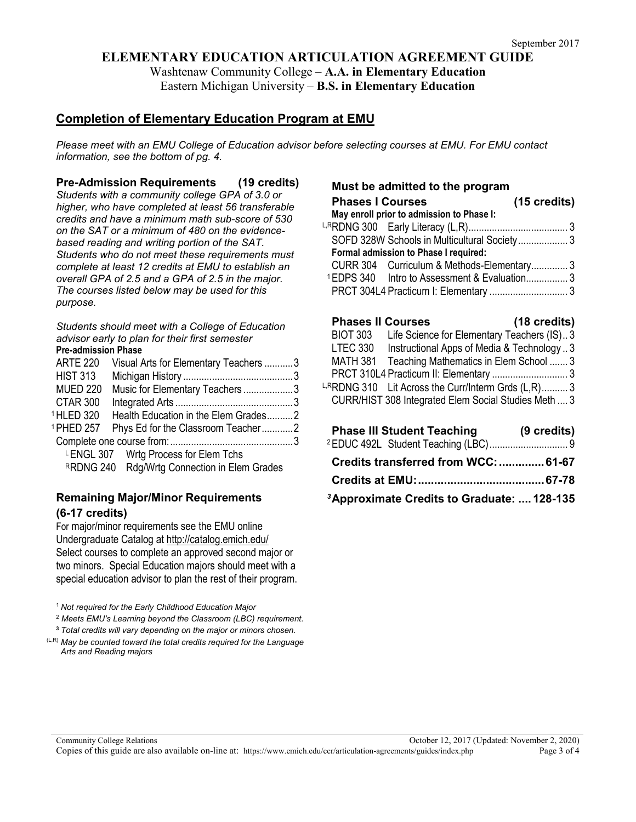# **ELEMENTARY EDUCATION ARTICULATION AGREEMENT GUIDE**

Washtenaw Community College – **A.A. in Elementary Education** Eastern Michigan University – **B.S. in Elementary Education**

# **Completion of Elementary Education Program at EMU**

*Please meet with an EMU College of Education advisor before selecting courses at EMU. For EMU contact information, see the bottom of pg. 4.*

**Pre-Admission Requirements (19 credits)**

*Students with a community college GPA of 3.0 or higher, who have completed at least 56 transferable credits and have a minimum math sub-score of 530 on the SAT or a minimum of 480 on the evidencebased reading and writing portion of the SAT. Students who do not meet these requirements must complete at least 12 credits at EMU to establish an overall GPA of 2.5 and a GPA of 2.5 in the major. The courses listed below may be used for this purpose.*

*Students should meet with a College of Education advisor early to plan for their first semester* 

**Pre-admission Phase**

| <b>ARTE 220</b>       | Visual Arts for Elementary Teachers 3        |  |
|-----------------------|----------------------------------------------|--|
| <b>HIST 313</b>       |                                              |  |
| <b>MUED 220</b>       | Music for Elementary Teachers3               |  |
| CTAR 300              |                                              |  |
| <sup>1</sup> HLED 320 | Health Education in the Elem Grades2         |  |
| <sup>1</sup> PHED 257 | Phys Ed for the Classroom Teacher2           |  |
|                       |                                              |  |
|                       | LENGL 307 Wrtg Process for Elem Tchs         |  |
|                       | RRDNG 240 Rdg/Wrtg Connection in Elem Grades |  |
|                       |                                              |  |

# **Remaining Major/Minor Requirements (6-17 credits)**

For major/minor requirements see the EMU online Undergraduate Catalog at<http://catalog.emich.edu/> Select courses to complete an approved second major or two minors. Special Education majors should meet with a special education advisor to plan the rest of their program.

<sup>1</sup>*Not required for the Early Childhood Education Major*

<sup>2</sup> *Meets EMU's Learning beyond the Classroom (LBC) requirement.*

**<sup>3</sup>** *Total credits will vary depending on the major or minors chosen.*

(L,R) *May be counted toward the total credits required for the Language Arts and Reading majors*

#### **Must be admitted to the program**

| <b>Phases I Courses</b>                                  | $(15 \text{ credits})$ |
|----------------------------------------------------------|------------------------|
| May enroll prior to admission to Phase I:                |                        |
|                                                          |                        |
| SOFD 328W Schools in Multicultural Society 3             |                        |
| Formal admission to Phase I required:                    |                        |
| CURR 304 Curriculum & Methods-Elementary 3               |                        |
| <sup>1</sup> EDPS 340 Intro to Assessment & Evaluation 3 |                        |
|                                                          |                        |
|                                                          |                        |

| <b>Phases II Courses</b> |                                                      | (18 credits) |
|--------------------------|------------------------------------------------------|--------------|
| <b>BIOT 303</b>          | Life Science for Elementary Teachers (IS)3           |              |
| LTEC 330                 | Instructional Apps of Media & Technology 3           |              |
|                          | MATH 381 Teaching Mathematics in Elem School  3      |              |
|                          | PRCT 310L4 Practicum II: Elementary  3               |              |
|                          | LRRDNG 310 Lit Across the Curr/Interm Grds (L,R) 3   |              |
|                          | CURR/HIST 308 Integrated Elem Social Studies Meth  3 |              |
|                          |                                                      |              |
|                          |                                                      |              |

| <b>Phase III Student Teaching</b>                      | (9 credits) |
|--------------------------------------------------------|-------------|
|                                                        |             |
| Credits transferred from WCC:  61-67                   |             |
|                                                        |             |
| <sup>3</sup> Approximate Credits to Graduate:  128-135 |             |